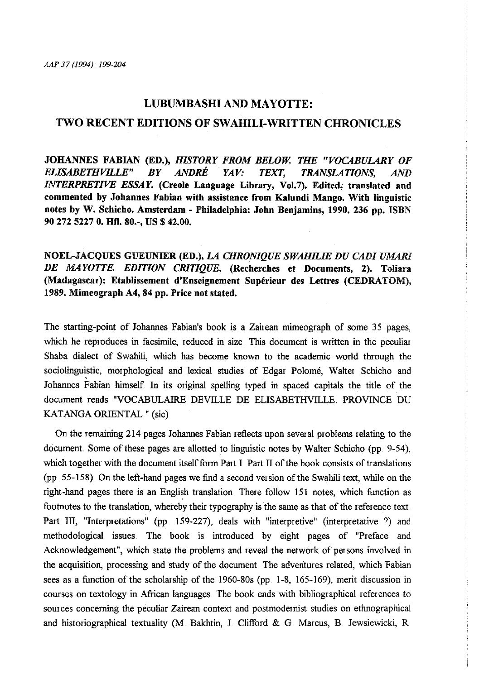## LUBUMBASHI AND MAYOTTE:

## TWO RECENT EDITIONS OF SWAHILI-WRITTEN CHRONICLES

JOHANNES FABIAN (ED.), *HISTORY FROM BELOW. THE "VOCABULARY OF ELISABETHVILLE" BY ANDRE YAV.· TEXT, TRANSLATIONS, AND INTERPRETIVE ESSAY.* (Creole Language Library, Vol.7). Edited, translated and commented by Johannes Fabian with assistance from Kalundi Mango. With linguistic notes by W. Schicho. Amsterdam- Philadelphia: John Benjamins, 1990. 236 pp. ISBN 90 272 5227 0. Htl. 80.-, US \$ 42.00.

NOEL-JACQUES GUEUNIER (ED.), *LA CHRONIQUE SWAHILIE DU CAD/ UMARI DE MAYOTTE. EDITION CRITIQUE.* (Recherches et Documents, 2). Toliara (Madagascar): Etablissement d'Enseignement Supérieur des Lettres (CEDRATOM), 1989. Mimeograph A4, 84 pp. Price not stated.

The starting-point of Johannes Fabian's book is a Zairean mimeograph of some 35 pages, which he reproduces in facsimile, reduced in size This document is written in the peculiar Shaba dialect of Swahili, which has become known to the academic world through the sociolinguistic, morphological and lexical studies of Edgar Polome, Waiter Schicho and Johannes Fabian himself In its original spelling typed in spaced capitals the title of the document reads "VOCABULAIRE DEVILLE DE ELISABETHVILLE. PROVINCE DU KATANGA ORIENTAL" (sic)

On the remaining 214 pages Johannes Fabian reflects upon several problems relating to the document. Some of these pages are allotted to linguistic notes by Walter Schicho (pp. 9-54), which together with the document itself form Part I Part II of the book consists of translations (pp. 55-158) On the left-hand pages we find a second version of the Swahili text, while on the right-hand pages there is an English translation There follow 151 notes, which function as footnotes to the translation, whereby their typography is the same as that of the reference text Part III, "Interpretations" (pp 159-227), deals with "interpretive" (interpretative ?) and methodological issues The book is introduced by eight pages of "Preface and Acknowledgement", which state the problems and reveal the network of persons involved in the acquisition, processing and study of the document. The adventures related, which Fabian sees as a function of the scholarship of the 1960-80s (pp. 1-8, 165·-169), merit discussion in courses on textology in Aftican languages. The book ends with bibliographical references to sources concerning the peculiar Zairean context and postmodernist studies on ethnographical and historiographical textuality (M. Bakhtin, J Clifford & G Marcus, B Jewsiewicki, R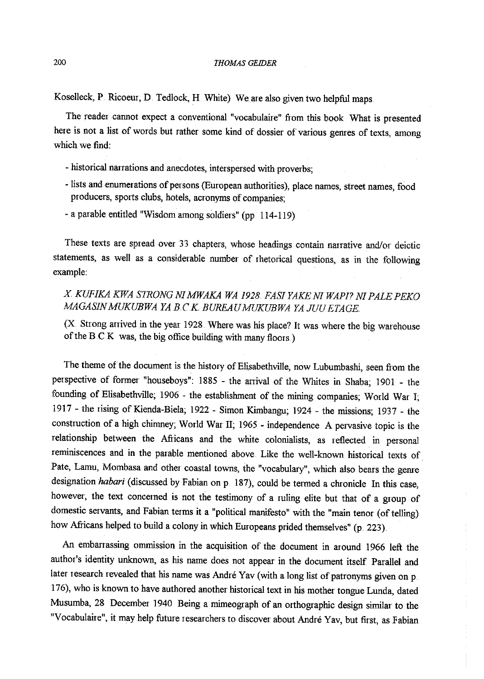Koselleck, P Ricoeur, D Tedlock, H White) We are also given two helpful maps.

The reader cannot expect a conventional "vocabulaire" from this book What is presented here is not a list of words but rather some kind of dossier of various genres of texts, among which we find:

- historical narrations and anecdotes, interspersed with proverbs;
- lists and enumerations of persons (European authorities), place names, street names, food producers, sports clubs, hotels, acronyms of companies;
- -a parable entitled "Wisdom among soldiers" (pp 114-119)

These texts are spread over 33 chapters, whose headings contain narrative and/or deictic statements, as well as a considerable number of rhetorical questions, as in the following example:

*X KUFIKA KWA STRONG NI MWAKA WA 1928. FASI YAKE NI WAPJ? NI PALE PEKO MAGASIN MUKUBWA YA B.CK BUREAU MUKUBWA YA JUU ET AGE* 

(X. Strong anived in the year 1928 Where was his place? It was where the big warehouse of the B.C.K was, the big office building with many floors.)

The theme of the document is the history of Elisabethville, now Lubumbashi, seen from the perspective of former "houseboys": 1885 - the ariival of the Whites in Shaba; 1901 - the founding of Elisabethville; 1906 - the establishment of the mining companies; World War I; 1917- the rising ofKienda-Biela; 1922- Simon Kimbangu; 1924- the missions; 1937- the constmction of a high chimney; World War II; 1965 - independence A pervasive topic is the relationship between the Afiicans and the white colonialists, as reflected in personal reminiscences and in the parable mentioned above. Like the well-known historical texts of Pate, Lamu, Mombasa and other coastal towns, the "vocabulary", which also bears the gerne designation *habari* (discussed by Fabian on p. 187), could be termed a chronicle In this case, however, the text concerned is not the testimony of a ruling elite but that of a group of domestic servants, and Fabian terms it a "political manifesto" with the "main tenor (of telling) how Afiicans helped to build a colony in which Europeans prided themselves" (p. 223).

An embarrassing ommission in the acquisition of the document in around 1966 left the author's identity unknown, as his name does not appear in the document itself Parallel and later research revealed that his name was André Yav (with a long list of patronyms given on p. 176), who is known to have authored another historical text in his mother tongue Lunda, dated Musumba, 28 December 1940 Being a mimeograph of an orthographic design similar to the "Vocabulaire", it may help future researchers to discover about Andre Yav, but first, as Fabian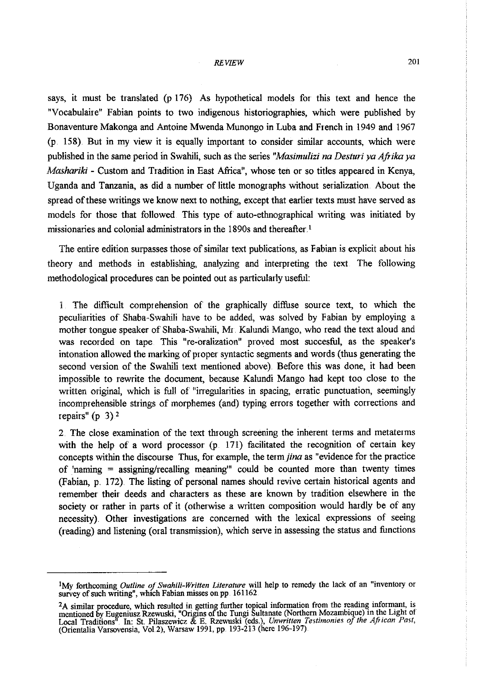## *REVIEW* 201

says, it must be translated (p 176) As hypothetical models for this text and hence the "Vocabulaire" Fabian points to two indigenous historiographies, which were published by Bonaventure Makonga and Antoine Mwenda Munongo in Luba and French in 1949 and 1967 (p. 158). But in my view it is equally important to consider similar accounts, which were published in the same period in Swahili, such as the series *"Masimulizi na Desturi ya Afrika ya Mashariki* - Custom and Tradition in East Africa", whose ten or so titles appeared in Kenya, Uganda and Tanzania, as did a number of little monographs without serialization. About the spread of these writings we know next to nothing, except that earlier texts must have served as models for those that followed This type of auto-ethnographical writing was initiated by missionaries and colonial administrators in the 1890s and thereafter <sup>1</sup>

The entire edition surpasses those of similar text publications, as Fabian is explicit about his theory and methods in establishing, analyzing and interpreting the text The following methodological procedures can be pointed out as particularly useful:

1 The difficult comprehension of the graphically diffuse source text, to which the peculiarities of Shaba-Swahili have to be added, was solved by Fabian by employing a mother tongue speaker of Shaba-Swahili, Mr. Kalundi Mango, who read the text aloud and was recorded on tape This "re-oralization" proved most succesful, as the speaker's intonation allowed the marking of proper syntactic segments and words (thus generating the second version of the Swahili text mentioned above).. Before this was done, it had been impossible to rewrite the document, because Kalundi Mango had kept too close to the written original, which is full of "irregularities in spacing, erratic punctuation, seemingly incomprehensible strings of morphemes (and) typing errors together with corrections and repairs"  $(p \ 3)^2$ 

2. The close examination of the text through screening the inherent terms and metaterms with the help of a word processor (p 171) facilitated the recognition of certain key concepts within the discourse Thus, for example, the *termjina* as "evidence for the practice of 'naming = assigning/recalling meaning'" could be counted more than twenty times (Fabian, p. 172) . The listing of personal names should revive certain historical agents and remember their deeds and characters as these are known by tradition elsewhere in the society or rather in parts of it (otherwise a written composition would hardly be of any necessity). Other investigations are concerned with the lexical expressions of seeing (reading) and listening (oral transmission), which serve in assessing the status and functions

<sup>&#</sup>x27;My forthcoming *Outline oj Swahi/i-Written Literature* will help to remedy the lack of an "inventory or survey of such writing", which Fabian misses on pp. 161162.

<sup>&</sup>lt;sup>2</sup>A similar procedure, which resulted in getting further topical information from the reading informant, is mentioned by Eugeniusz Rzewuski, "Origins of the Tungi Sultanate (Northern Mozambique) in the Light of Local Traditions" In: St. Pilaszewicz & E. Rzewuski (eds.), *Unwritten Testimonies oj the Aji1can Past,*  (Orientalia Varsovensia, Vol2), Warsaw 1991, pp. 193-213 (here 196··197)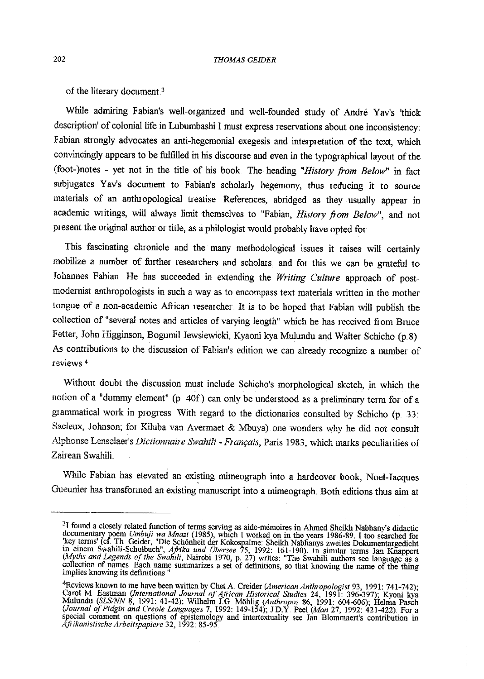of the literary document  $3$ 

While admiring Fabian's well-organized and well-founded study of Andre Yav's 'thick description' of colonial life in Lubumbashi I must express reservations about one inconsistency: Fabian strongly advocates an anti-hegemonial exegesis and interpretation of the text, which convincingly appears to be fulfilled in his discourse and even in the typographical layout of the (foot-)notes - yet not in the title of his book The heading *"History from Below"* in fact subjugates Yav's document to Fabian's scholarly hegemony, thus reducing it to source materials of an anthropological treatise References, abridged as they usually appear in academic writings, will always limit themselves to "Fabian, *History from Below"*, and not present the original author or title, as a philologist would probably have opted for

This fascinating chronicle and the many methodological issues it raises will certainly mobilize a number of further researchers and scholars, and for this we can be grateful to Johannes Fabian. He has succeeded in extending the *Writing Culture* approach of post- modernist anthropologists in such a way as to encompass text materials written in the mother tongue of a non-academic African researcher. It is to be hoped that Fabian will publish the collection of "several notes and articles of varying length" which he has received from Bruce Fetter, John Higginson, Bogumil Jewsiewicki, Kyaoni kya Mulundu and Waiter Schicho (p 8) As contiibutions to the discussion of Fabian's edition we can already recognize a number of reviews <sup>4</sup>

Without doubt the discussion must include Schicho's morphological sketch, in which the notion of a "dummy element" (p 40f) can only be understood as a preliminary term for of <sup>a</sup> grammatical work in progress With regard to the dictionaries consulted by Schicho (p. 33: Sacleux, Johnson; for Kiluba van Avermaet & Mbuya) one wonders why he did not consult Alphonse Lenselaer's *Dictionnaire Swahili - Français*, Paris 1983, which marks peculiarities of Zairean Swahili.

While Fabian has elevated an existing mimeograph into a hardcover book, Noel-Jacques Gueunier has transformed an existing manuscript into a rnimeograph. Both editions thus aim at

<sup>&</sup>lt;sup>3</sup>I found a closely related function of terms serving as aide-mémoires in Ahmed Sheikh Nabhany's didactic documentary poem *Umbuji wa Mnazi* (1985), which I worked on in the years 1986-89. I too searched for 'key terms'

<sup>&</sup>lt;sup>4</sup>Reviews known to me have been written by Chet A. Creider (American Anthropologist 93, 1991: 741-742);<br>Carol M. Eastman (International Journal of African Historical Studies 24, 1991: 396-397); Kyoni kya<br>Mulundu (SLS/NN 8 special comment on questions of epistemology and intertextuality see Jan Blommaert's contribution in *Afrikanistische Arbeitspapiere* 32, 1992: 85-95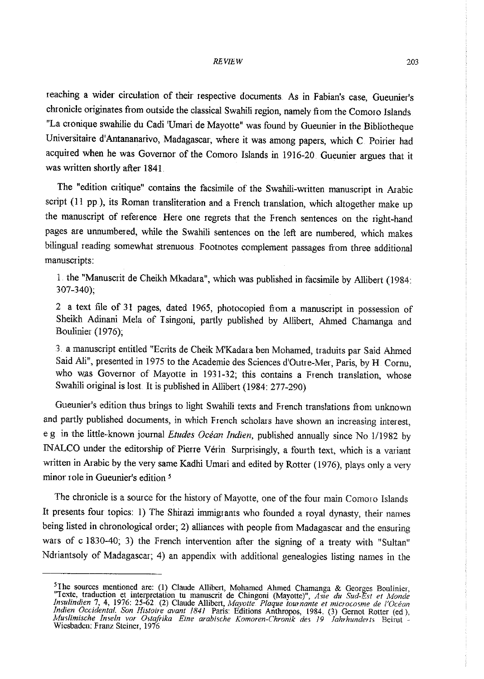reaching a wider circulation of their respective documents. As in Fabian's case, Gueunier's chronicle originates from outside the classical Swahili region, namely from the Comoro Islands. "La cronique swahilie du Cadi 'Umari de Mayotte" was found by Gueunier in the Bibliotheque Universitaire d'Antananarivo, Madagascar, where it was among papers, which C Poirier had acquired when he was Governor of the Comoro Islands in 1916-20. Gueunier argues that it was written shortly after 1841

The "edition critique" contains the facsimile of the Swahili-written manuscript in Arabic script (11 pp.), its Roman transliteration and a French translation, which altogether make up the manuscript of reference Here one regrets that the French sentences on the right-hand pages are unnumbered, while the Swahili sentences on the left are numbered, which makes bilingual reading somewhat strenuous Footnotes complement passages from three additional manuscripts:

1 the "Manuscrit de Cheikh Mkadara", which was published in facsimile by Allibert (1984: 307-340);

2 a text file of <sup>31</sup>pages, dated 1965, photocopied from a manuscript in possession of Sheikh Adinani Mela of Tsingoni, partly published by Allibert, Ahmed Chamanga and Boulinier (1976);

3 a manuscript entitled "Ecrits de Cheik M'Kadara ben Mohamed, traduits par Said Ahmed Said Ali", presented in 1975 to the Academie des Sciences d'Outre-Mer, Paris, by H. Cornu, who was Governor of Mayotte in 1931-32; this contains a French translation, whose Swahili original is lost. It is published in Allibert (1984: 277-290)

Gueunier's edition thus brings to light Swahili texts and French translations fiom unknown and partly published documents, in which French scholars have shown an increasing interest, e g in the little-·known journal *Etudes Ocean Indien,* published annually since No 1/1982 by INALCO under the editorship of Pierre Vérin Surprisingly, a fourth text, which is a variant written in Arabic by the very same Kadhi Umari and edited by Rotter (1976), plays only a very minor role in Gueunier's edition *<sup>5</sup>*

The chronicle is a source for the history of Mayotte, one of the four main Comoro Islands It presents four topics: I) The Shirazi immigrants who founded a royal dynasty, their names being listed in chronological order; 2) alliances with people from Madagascar and the ensuring wars of c 1830-40; 3) the French intervention after the signing of a treaty with "Sultan" Ndriantsoly of Madagascar; 4) an appendix with additional genealogies listing names in the

<sup>&</sup>lt;sup>5</sup>The sources mentioned are: (1) Claude Allibert, Mohamed Ahmed Chamanga & Georges Boulinier, "Texte, traduction et interpretation tu manuscrit de Chingoni (Mayotte)", Asie du Sud-Est et Monde Insulindien 7, 4, 1976: 25-6